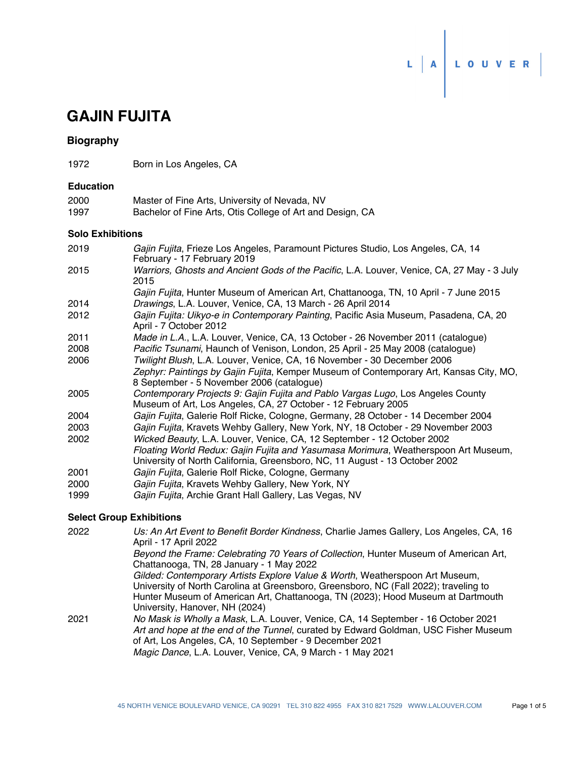

# **GAJIN FUJITA**

# **Biography**

1972 Born in Los Angeles, CA

### **Education**

| 2000 | Master of Fine Arts, University of Nevada, NV             |
|------|-----------------------------------------------------------|
| 1997 | Bachelor of Fine Arts, Otis College of Art and Design, CA |

## **Solo Exhibitions**

| 2019 | <i>Gajin Fujita</i> , Frieze Los Angeles, Paramount Pictures Studio, Los Angeles, CA, 14           |
|------|----------------------------------------------------------------------------------------------------|
|      | February - 17 February 2019                                                                        |
| 2015 | Warriors, Ghosts and Ancient Gods of the Pacific, L.A. Louver, Venice, CA, 27 May - 3 July<br>2015 |

*Gajin Fujita*, Hunter Museum of American Art, Chattanooga, TN, 10 April - 7 June 2015 2014 *Drawings*, L.A. Louver, Venice, CA, 13 March - 26 April 2014

- *Gajin Fujita: Uikyo-e in Contemporary Painting*, Pacific Asia Museum, Pasadena, CA, 20 April - 7 October 2012 2012
- 2011 *Made in L.A.*, L.A. Louver, Venice, CA, 13 October 26 November 2011 (catalogue)
- 2008 *Pacific Tsunami*, Haunch of Venison, London, 25 April 25 May 2008 (catalogue)
- 2006 *Twilight Blush*, L.A. Louver, Venice, CA, 16 November 30 December 2006 *Zephyr: Paintings by Gajin Fujita*, Kemper Museum of Contemporary Art, Kansas City, MO, 8 September - 5 November 2006 (catalogue)
- *Contemporary Projects 9: Gajin Fujita and Pablo Vargas Lugo*, Los Angeles County Museum of Art, Los Angeles, CA, 27 October - 12 February 2005 2005
- 2004 *Gajin Fujita*, Galerie Rolf Ricke, Cologne, Germany, 28 October 14 December 2004
- 2003 *Gajin Fujita*, Kravets Wehby Gallery, New York, NY, 18 October 29 November 2003
- 2002 *Wicked Beauty*, L.A. Louver, Venice, CA, 12 September 12 October 2002
- *Floating World Redux: Gajin Fujita and Yasumasa Morimura*, Weatherspoon Art Museum, University of North California, Greensboro, NC, 11 August - 13 October 2002
- 2001 *Gajin Fujita*, Galerie Rolf Ricke, Cologne, Germany
- 2000 *Gajin Fujita*, Kravets Wehby Gallery, New York, NY
- 1999 *Gajin Fujita*, Archie Grant Hall Gallery, Las Vegas, NV

# **Select Group Exhibitions**

| 2022 | Us: An Art Event to Benefit Border Kindness, Charlie James Gallery, Los Angeles, CA, 16<br>April - 17 April 2022                                                                                                                                                                                  |
|------|---------------------------------------------------------------------------------------------------------------------------------------------------------------------------------------------------------------------------------------------------------------------------------------------------|
|      | Beyond the Frame: Celebrating 70 Years of Collection, Hunter Museum of American Art,<br>Chattanooga, TN, 28 January - 1 May 2022                                                                                                                                                                  |
|      | Gilded: Contemporary Artists Explore Value & Worth, Weatherspoon Art Museum,<br>University of North Carolina at Greensboro, Greensboro, NC (Fall 2022); traveling to<br>Hunter Museum of American Art, Chattanooga, TN (2023); Hood Museum at Dartmouth<br>University, Hanover, NH (2024)         |
| 2021 | No Mask is Wholly a Mask, L.A. Louver, Venice, CA, 14 September - 16 October 2021<br>Art and hope at the end of the Tunnel, curated by Edward Goldman, USC Fisher Museum<br>of Art, Los Angeles, CA, 10 September - 9 December 2021<br>Magic Dance, L.A. Louver, Venice, CA, 9 March - 1 May 2021 |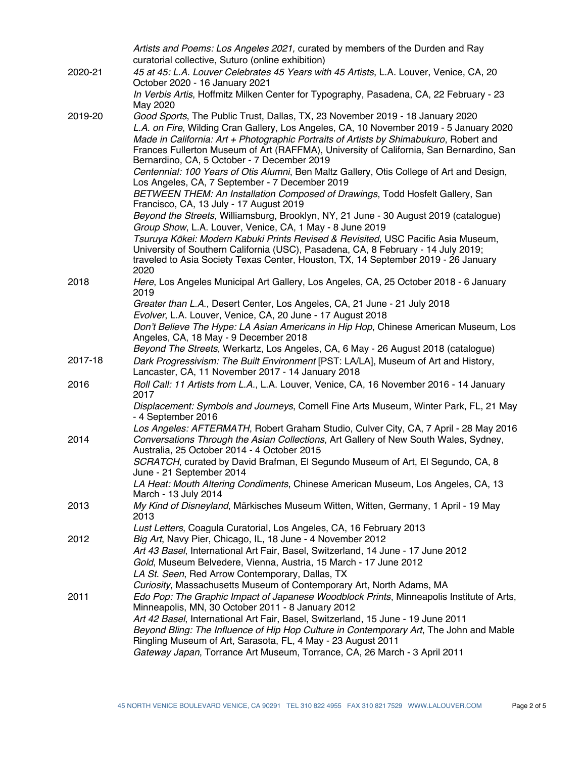|         | Artists and Poems: Los Angeles 2021, curated by members of the Durden and Ray<br>curatorial collective, Suturo (online exhibition)                                                                                                                                                                                                                                                                          |
|---------|-------------------------------------------------------------------------------------------------------------------------------------------------------------------------------------------------------------------------------------------------------------------------------------------------------------------------------------------------------------------------------------------------------------|
| 2020-21 | 45 at 45: L.A. Louver Celebrates 45 Years with 45 Artists, L.A. Louver, Venice, CA, 20<br>October 2020 - 16 January 2021                                                                                                                                                                                                                                                                                    |
|         | In Verbis Artis, Hoffmitz Milken Center for Typography, Pasadena, CA, 22 February - 23<br>May 2020                                                                                                                                                                                                                                                                                                          |
| 2019-20 | Good Sports, The Public Trust, Dallas, TX, 23 November 2019 - 18 January 2020<br>L.A. on Fire, Wilding Cran Gallery, Los Angeles, CA, 10 November 2019 - 5 January 2020<br>Made in California: Art + Photographic Portraits of Artists by Shimabukuro, Robert and<br>Frances Fullerton Museum of Art (RAFFMA), University of California, San Bernardino, San<br>Bernardino, CA, 5 October - 7 December 2019 |
|         | Centennial: 100 Years of Otis Alumni, Ben Maltz Gallery, Otis College of Art and Design,<br>Los Angeles, CA, 7 September - 7 December 2019<br>BETWEEN THEM: An Installation Composed of Drawings, Todd Hosfelt Gallery, San                                                                                                                                                                                 |
|         | Francisco, CA, 13 July - 17 August 2019<br>Beyond the Streets, Williamsburg, Brooklyn, NY, 21 June - 30 August 2019 (catalogue)                                                                                                                                                                                                                                                                             |
|         | Group Show, L.A. Louver, Venice, CA, 1 May - 8 June 2019                                                                                                                                                                                                                                                                                                                                                    |
|         | Tsuruya Kōkei: Modern Kabuki Prints Revised & Revisited, USC Pacific Asia Museum,<br>University of Southern California (USC), Pasadena, CA, 8 February - 14 July 2019;<br>traveled to Asia Society Texas Center, Houston, TX, 14 September 2019 - 26 January<br>2020                                                                                                                                        |
| 2018    | Here, Los Angeles Municipal Art Gallery, Los Angeles, CA, 25 October 2018 - 6 January<br>2019                                                                                                                                                                                                                                                                                                               |
|         | Greater than L.A., Desert Center, Los Angeles, CA, 21 June - 21 July 2018<br>Evolver, L.A. Louver, Venice, CA, 20 June - 17 August 2018                                                                                                                                                                                                                                                                     |
|         | Don't Believe The Hype: LA Asian Americans in Hip Hop, Chinese American Museum, Los<br>Angeles, CA, 18 May - 9 December 2018                                                                                                                                                                                                                                                                                |
| 2017-18 | Beyond The Streets, Werkartz, Los Angeles, CA, 6 May - 26 August 2018 (catalogue)<br>Dark Progressivism: The Built Environment [PST: LA/LA], Museum of Art and History,<br>Lancaster, CA, 11 November 2017 - 14 January 2018                                                                                                                                                                                |
| 2016    | Roll Call: 11 Artists from L.A., L.A. Louver, Venice, CA, 16 November 2016 - 14 January<br>2017                                                                                                                                                                                                                                                                                                             |
|         | Displacement: Symbols and Journeys, Cornell Fine Arts Museum, Winter Park, FL, 21 May<br>- 4 September 2016                                                                                                                                                                                                                                                                                                 |
| 2014    | Los Angeles: AFTERMATH, Robert Graham Studio, Culver City, CA, 7 April - 28 May 2016<br>Conversations Through the Asian Collections, Art Gallery of New South Wales, Sydney,<br>Australia, 25 October 2014 - 4 October 2015                                                                                                                                                                                 |
|         | SCRATCH, curated by David Brafman, El Segundo Museum of Art, El Segundo, CA, 8<br>June - 21 September 2014                                                                                                                                                                                                                                                                                                  |
|         | LA Heat: Mouth Altering Condiments, Chinese American Museum, Los Angeles, CA, 13<br>March - 13 July 2014                                                                                                                                                                                                                                                                                                    |
| 2013    | My Kind of Disneyland, Märkisches Museum Witten, Witten, Germany, 1 April - 19 May<br>2013                                                                                                                                                                                                                                                                                                                  |
| 2012    | Lust Letters, Coagula Curatorial, Los Angeles, CA, 16 February 2013<br>Big Art, Navy Pier, Chicago, IL, 18 June - 4 November 2012                                                                                                                                                                                                                                                                           |
|         | Art 43 Basel, International Art Fair, Basel, Switzerland, 14 June - 17 June 2012<br>Gold, Museum Belvedere, Vienna, Austria, 15 March - 17 June 2012<br>LA St. Seen, Red Arrow Contemporary, Dallas, TX<br>Curiosity, Massachusetts Museum of Contemporary Art, North Adams, MA                                                                                                                             |
| 2011    | Edo Pop: The Graphic Impact of Japanese Woodblock Prints, Minneapolis Institute of Arts,<br>Minneapolis, MN, 30 October 2011 - 8 January 2012<br>Art 42 Basel, International Art Fair, Basel, Switzerland, 15 June - 19 June 2011                                                                                                                                                                           |
|         | Beyond Bling: The Influence of Hip Hop Culture in Contemporary Art, The John and Mable<br>Ringling Museum of Art, Sarasota, FL, 4 May - 23 August 2011<br>Gateway Japan, Torrance Art Museum, Torrance, CA, 26 March - 3 April 2011                                                                                                                                                                         |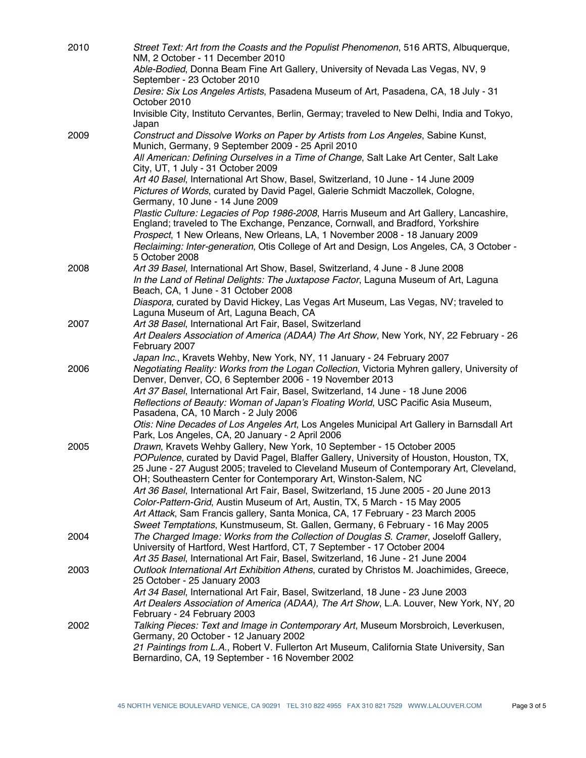| 2010 | Street Text: Art from the Coasts and the Populist Phenomenon, 516 ARTS, Albuquerque,<br>NM, 2 October - 11 December 2010                                                                                                                                |
|------|---------------------------------------------------------------------------------------------------------------------------------------------------------------------------------------------------------------------------------------------------------|
|      | Able-Bodied, Donna Beam Fine Art Gallery, University of Nevada Las Vegas, NV, 9<br>September - 23 October 2010                                                                                                                                          |
|      | Desire: Six Los Angeles Artists, Pasadena Museum of Art, Pasadena, CA, 18 July - 31<br>October 2010                                                                                                                                                     |
|      | Invisible City, Instituto Cervantes, Berlin, Germay; traveled to New Delhi, India and Tokyo,<br>Japan                                                                                                                                                   |
| 2009 | Construct and Dissolve Works on Paper by Artists from Los Angeles, Sabine Kunst,<br>Munich, Germany, 9 September 2009 - 25 April 2010                                                                                                                   |
|      | All American: Defining Ourselves in a Time of Change, Salt Lake Art Center, Salt Lake<br>City, UT, 1 July - 31 October 2009                                                                                                                             |
|      | Art 40 Basel, International Art Show, Basel, Switzerland, 10 June - 14 June 2009<br>Pictures of Words, curated by David Pagel, Galerie Schmidt Maczollek, Cologne,<br>Germany, 10 June - 14 June 2009                                                   |
|      | Plastic Culture: Legacies of Pop 1986-2008, Harris Museum and Art Gallery, Lancashire,<br>England; traveled to The Exchange, Penzance, Cornwall, and Bradford, Yorkshire<br>Prospect, 1 New Orleans, New Orleans, LA, 1 November 2008 - 18 January 2009 |
|      | Reclaiming: Inter-generation, Otis College of Art and Design, Los Angeles, CA, 3 October -<br>5 October 2008                                                                                                                                            |
| 2008 | Art 39 Basel, International Art Show, Basel, Switzerland, 4 June - 8 June 2008<br>In the Land of Retinal Delights: The Juxtapose Factor, Laguna Museum of Art, Laguna<br>Beach, CA, 1 June - 31 October 2008                                            |
|      | Diaspora, curated by David Hickey, Las Vegas Art Museum, Las Vegas, NV; traveled to<br>Laguna Museum of Art, Laguna Beach, CA                                                                                                                           |
| 2007 | Art 38 Basel, International Art Fair, Basel, Switzerland                                                                                                                                                                                                |
|      | Art Dealers Association of America (ADAA) The Art Show, New York, NY, 22 February - 26<br>February 2007                                                                                                                                                 |
|      | Japan Inc., Kravets Wehby, New York, NY, 11 January - 24 February 2007                                                                                                                                                                                  |
| 2006 | Negotiating Reality: Works from the Logan Collection, Victoria Myhren gallery, University of<br>Denver, Denver, CO, 6 September 2006 - 19 November 2013                                                                                                 |
|      | Art 37 Basel, International Art Fair, Basel, Switzerland, 14 June - 18 June 2006<br>Reflections of Beauty: Woman of Japan's Floating World, USC Pacific Asia Museum,                                                                                    |
|      | Pasadena, CA, 10 March - 2 July 2006                                                                                                                                                                                                                    |
|      | Otis: Nine Decades of Los Angeles Art, Los Angeles Municipal Art Gallery in Barnsdall Art<br>Park, Los Angeles, CA, 20 January - 2 April 2006                                                                                                           |
| 2005 | Drawn, Kravets Wehby Gallery, New York, 10 September - 15 October 2005                                                                                                                                                                                  |
|      | POPulence, curated by David Pagel, Blaffer Gallery, University of Houston, Houston, TX,<br>25 June - 27 August 2005; traveled to Cleveland Museum of Contemporary Art, Cleveland,<br>OH; Southeastern Center for Contemporary Art, Winston-Salem, NC    |
|      | Art 36 Basel, International Art Fair, Basel, Switzerland, 15 June 2005 - 20 June 2013<br>Color-Pattern-Grid, Austin Museum of Art, Austin, TX, 5 March - 15 May 2005                                                                                    |
|      | Art Attack, Sam Francis gallery, Santa Monica, CA, 17 February - 23 March 2005                                                                                                                                                                          |
|      | Sweet Temptations, Kunstmuseum, St. Gallen, Germany, 6 February - 16 May 2005                                                                                                                                                                           |
| 2004 | The Charged Image: Works from the Collection of Douglas S. Cramer, Joseloff Gallery,<br>University of Hartford, West Hartford, CT, 7 September - 17 October 2004                                                                                        |
|      | Art 35 Basel, International Art Fair, Basel, Switzerland, 16 June - 21 June 2004                                                                                                                                                                        |
| 2003 | Outlook International Art Exhibition Athens, curated by Christos M. Joachimides, Greece,<br>25 October - 25 January 2003                                                                                                                                |
|      | Art 34 Basel, International Art Fair, Basel, Switzerland, 18 June - 23 June 2003<br>Art Dealers Association of America (ADAA), The Art Show, L.A. Louver, New York, NY, 20<br>February - 24 February 2003                                               |
| 2002 | Talking Pieces: Text and Image in Contemporary Art, Museum Morsbroich, Leverkusen,<br>Germany, 20 October - 12 January 2002                                                                                                                             |
|      | 21 Paintings from L.A., Robert V. Fullerton Art Museum, California State University, San<br>Bernardino, CA, 19 September - 16 November 2002                                                                                                             |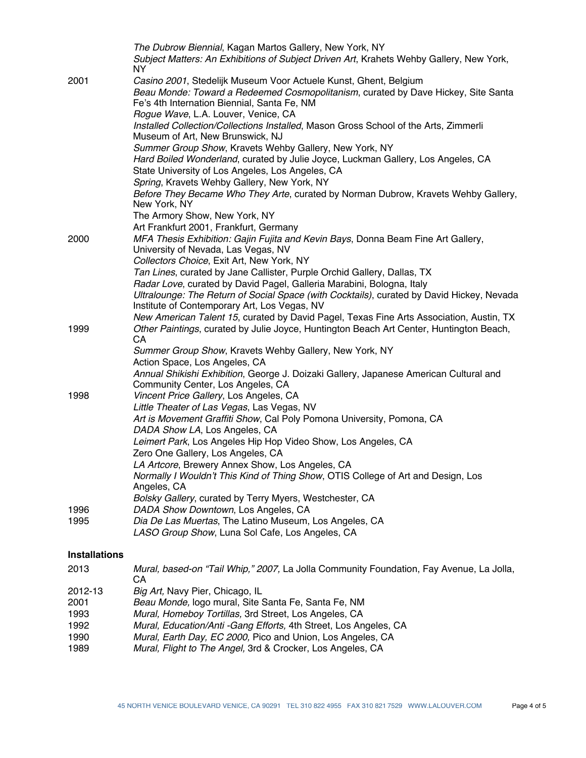|                      | The Dubrow Biennial, Kagan Martos Gallery, New York, NY<br>Subject Matters: An Exhibitions of Subject Driven Art, Krahets Wehby Gallery, New York, |
|----------------------|----------------------------------------------------------------------------------------------------------------------------------------------------|
| 2001                 | NY.<br>Casino 2001, Stedelijk Museum Voor Actuele Kunst, Ghent, Belgium                                                                            |
|                      | Beau Monde: Toward a Redeemed Cosmopolitanism, curated by Dave Hickey, Site Santa<br>Fe's 4th Internation Biennial, Santa Fe, NM                   |
|                      | Rogue Wave, L.A. Louver, Venice, CA                                                                                                                |
|                      | Installed Collection/Collections Installed, Mason Gross School of the Arts, Zimmerli<br>Museum of Art, New Brunswick, NJ                           |
|                      | Summer Group Show, Kravets Wehby Gallery, New York, NY<br>Hard Boiled Wonderland, curated by Julie Joyce, Luckman Gallery, Los Angeles, CA         |
|                      | State University of Los Angeles, Los Angeles, CA                                                                                                   |
|                      | Spring, Kravets Wehby Gallery, New York, NY                                                                                                        |
|                      | Before They Became Who They Arte, curated by Norman Dubrow, Kravets Wehby Gallery,<br>New York, NY                                                 |
|                      | The Armory Show, New York, NY                                                                                                                      |
|                      | Art Frankfurt 2001, Frankfurt, Germany                                                                                                             |
| 2000                 | MFA Thesis Exhibition: Gajin Fujita and Kevin Bays, Donna Beam Fine Art Gallery,<br>University of Nevada, Las Vegas, NV                            |
|                      | Collectors Choice, Exit Art, New York, NY                                                                                                          |
|                      | Tan Lines, curated by Jane Callister, Purple Orchid Gallery, Dallas, TX                                                                            |
|                      | Radar Love, curated by David Pagel, Galleria Marabini, Bologna, Italy                                                                              |
|                      | Ultralounge: The Return of Social Space (with Cocktails), curated by David Hickey, Nevada<br>Institute of Contemporary Art, Los Vegas, NV          |
|                      | New American Talent 15, curated by David Pagel, Texas Fine Arts Association, Austin, TX                                                            |
| 1999                 | Other Paintings, curated by Julie Joyce, Huntington Beach Art Center, Huntington Beach,<br>CA                                                      |
|                      | Summer Group Show, Kravets Wehby Gallery, New York, NY                                                                                             |
|                      | Action Space, Los Angeles, CA                                                                                                                      |
|                      | Annual Shikishi Exhibition, George J. Doizaki Gallery, Japanese American Cultural and<br>Community Center, Los Angeles, CA                         |
| 1998                 | Vincent Price Gallery, Los Angeles, CA                                                                                                             |
|                      | Little Theater of Las Vegas, Las Vegas, NV                                                                                                         |
|                      | Art is Movement Graffiti Show, Cal Poly Pomona University, Pomona, CA<br>DADA Show LA, Los Angeles, CA                                             |
|                      | Leimert Park, Los Angeles Hip Hop Video Show, Los Angeles, CA                                                                                      |
|                      | Zero One Gallery, Los Angeles, CA                                                                                                                  |
|                      | LA Artcore, Brewery Annex Show, Los Angeles, CA                                                                                                    |
|                      | Normally I Wouldn't This Kind of Thing Show, OTIS College of Art and Design, Los<br>Angeles, CA                                                    |
|                      | Bolsky Gallery, curated by Terry Myers, Westchester, CA                                                                                            |
| 1996                 | DADA Show Downtown, Los Angeles, CA                                                                                                                |
| 1995                 | Dia De Las Muertas, The Latino Museum, Los Angeles, CA                                                                                             |
|                      | LASO Group Show, Luna Sol Cafe, Los Angeles, CA                                                                                                    |
| <b>Installations</b> |                                                                                                                                                    |
| 2013                 | Mural, based-on "Tail Whip," 2007, La Jolla Community Foundation, Fay Avenue, La Jolla,<br>CА                                                      |
| 2012-13              | Big Art, Navy Pier, Chicago, IL                                                                                                                    |
| 2001                 | Beau Monde, logo mural, Site Santa Fe, Santa Fe, NM                                                                                                |
| 1993<br>1000         | Mural, Homeboy Tortillas, 3rd Street, Los Angeles, CA<br>Mural Education/Anti Cang Effects 4th Street Lee Angeles CA                               |
|                      |                                                                                                                                                    |

- 1992 *Mural, Education/Anti -Gang Efforts,* 4th Street, Los Angeles, CA
- 1990 *Mural, Earth Day, EC 2000,* Pico and Union, Los Angeles, CA Mural, Flight to The Angel, 3rd & Crocker, Los Angeles, CA